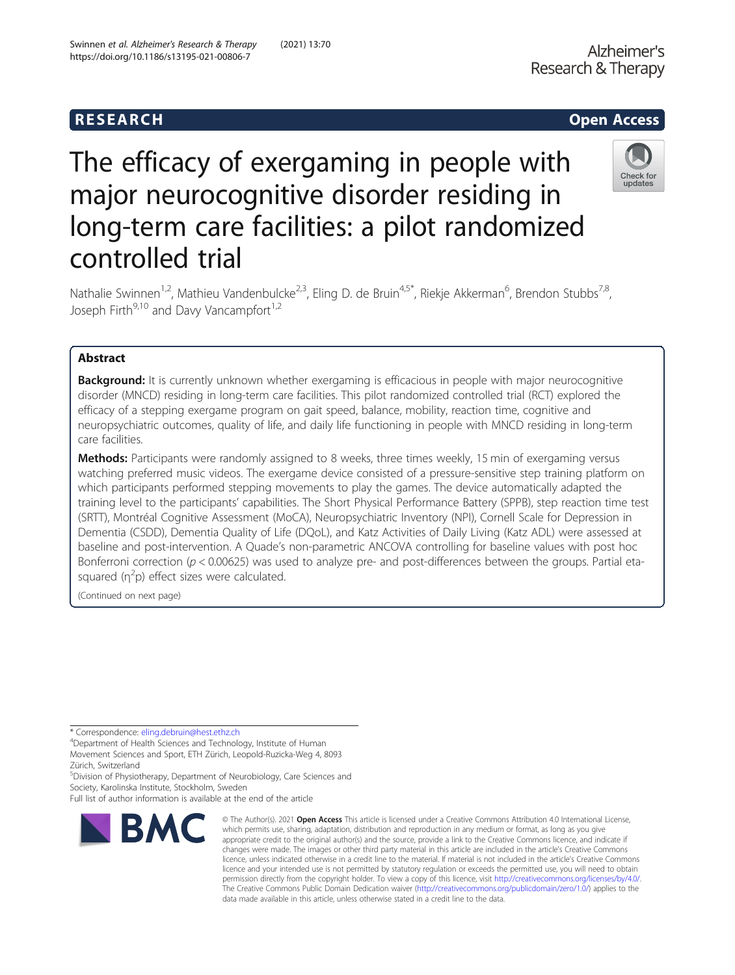## R E S EAR CH Open Access

Check for updates

# The efficacy of exergaming in people with major neurocognitive disorder residing in long-term care facilities: a pilot randomized controlled trial

Nathalie Swinnen<sup>1,2</sup>, Mathieu Vandenbulcke<sup>2,3</sup>, Eling D. de Bruin<sup>4,5\*</sup>, Riekje Akkerman<sup>6</sup>, Brendon Stubbs<sup>7,8</sup>, Joseph Firth $9,10$  and Davy Vancampfort $1,2$ 

### Abstract

**Background:** It is currently unknown whether exergaming is efficacious in people with major neurocognitive disorder (MNCD) residing in long-term care facilities. This pilot randomized controlled trial (RCT) explored the efficacy of a stepping exergame program on gait speed, balance, mobility, reaction time, cognitive and neuropsychiatric outcomes, quality of life, and daily life functioning in people with MNCD residing in long-term care facilities.

Methods: Participants were randomly assigned to 8 weeks, three times weekly, 15 min of exergaming versus watching preferred music videos. The exergame device consisted of a pressure-sensitive step training platform on which participants performed stepping movements to play the games. The device automatically adapted the training level to the participants' capabilities. The Short Physical Performance Battery (SPPB), step reaction time test (SRTT), Montréal Cognitive Assessment (MoCA), Neuropsychiatric Inventory (NPI), Cornell Scale for Depression in Dementia (CSDD), Dementia Quality of Life (DQoL), and Katz Activities of Daily Living (Katz ADL) were assessed at baseline and post-intervention. A Quade's non-parametric ANCOVA controlling for baseline values with post hoc Bonferroni correction ( $p < 0.00625$ ) was used to analyze pre- and post-differences between the groups. Partial etasquared  $(\eta^2 p)$  effect sizes were calculated.

(Continued on next page)

\* Correspondence: [eling.debruin@hest.ethz.ch](mailto:eling.debruin@hest.ethz.ch) <sup>4</sup>

<sup>4</sup>Department of Health Sciences and Technology, Institute of Human Movement Sciences and Sport, ETH Zürich, Leopold-Ruzicka-Weg 4, 8093 Zürich, Switzerland

5 Division of Physiotherapy, Department of Neurobiology, Care Sciences and Society, Karolinska Institute, Stockholm, Sweden

Full list of author information is available at the end of the article



© The Author(s), 2021 **Open Access** This article is licensed under a Creative Commons Attribution 4.0 International License, which permits use, sharing, adaptation, distribution and reproduction in any medium or format, as long as you give appropriate credit to the original author(s) and the source, provide a link to the Creative Commons licence, and indicate if changes were made. The images or other third party material in this article are included in the article's Creative Commons licence, unless indicated otherwise in a credit line to the material. If material is not included in the article's Creative Commons licence and your intended use is not permitted by statutory regulation or exceeds the permitted use, you will need to obtain permission directly from the copyright holder. To view a copy of this licence, visit [http://creativecommons.org/licenses/by/4.0/.](http://creativecommons.org/licenses/by/4.0/) The Creative Commons Public Domain Dedication waiver [\(http://creativecommons.org/publicdomain/zero/1.0/](http://creativecommons.org/publicdomain/zero/1.0/)) applies to the data made available in this article, unless otherwise stated in a credit line to the data.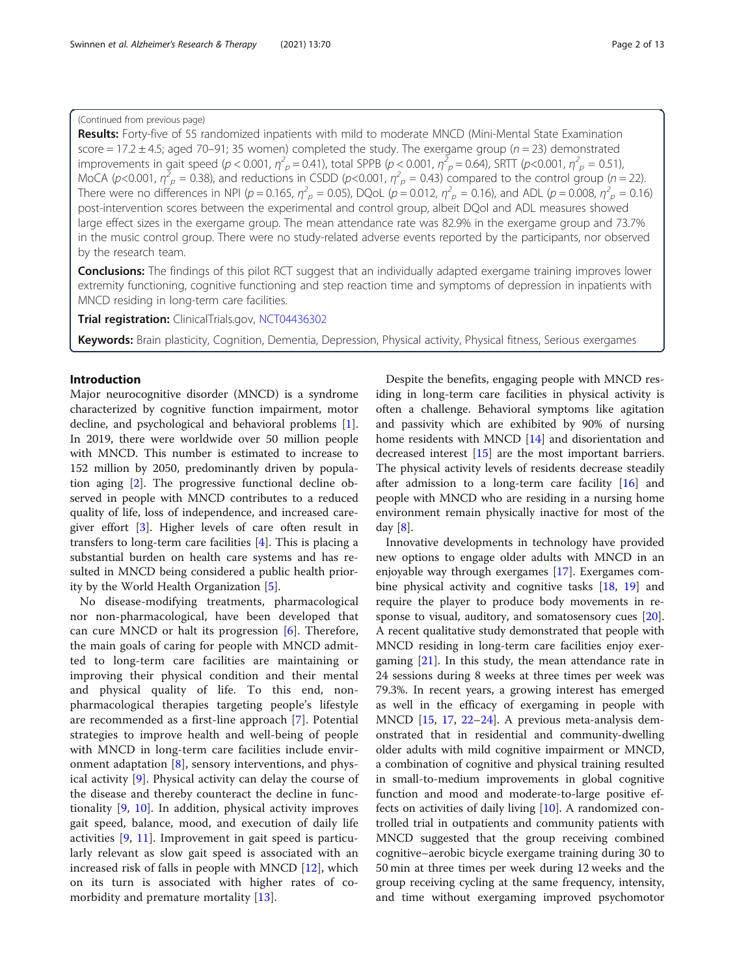#### (Continued from previous page)

Results: Forty-five of 55 randomized inpatients with mild to moderate MNCD (Mini-Mental State Examination score =  $17.2 \pm 4.5$ ; aged  $70 - 91$ ; 35 women) completed the study. The exergame group ( $n = 23$ ) demonstrated improvements in gait speed ( $p < 0.001$ ,  $\eta^2_{p} = 0.41$ ), total SPPB ( $p < 0.001$ ,  $\eta^2_{p} = 0.64$ ), SRTT ( $p < 0.001$ ,  $\eta^2_{p} = 0.51$ ) MoCA (p<0.001,  $\eta^2 = 0.38$ ), and reductions in CSDD (p<0.001,  $\eta^2 = 0.43$ ) compared to the control group (n = 22). There were no differences in NPI ( $p = 0.165$ ,  $\eta^2 = p = 0.05$ ), DQoL ( $p = 0.012$ ,  $\eta^2 = p = 0.16$ ), and ADL ( $p = 0.008$ ,  $\eta^2 = p = 0.16$ ) post-intervention scores between the experimental and control group, albeit DQol and ADL measures showed large effect sizes in the exergame group. The mean attendance rate was 82.9% in the exergame group and 73.7% in the music control group. There were no study-related adverse events reported by the participants, nor observed by the research team.

Conclusions: The findings of this pilot RCT suggest that an individually adapted exergame training improves lower extremity functioning, cognitive functioning and step reaction time and symptoms of depression in inpatients with MNCD residing in long-term care facilities.

Trial registration: ClinicalTrials.gov, [NCT04436302](https://clinicaltrials.gov/ct2/show/NCT04436302)

Keywords: Brain plasticity, Cognition, Dementia, Depression, Physical activity, Physical fitness, Serious exergames

#### Introduction

Major neurocognitive disorder (MNCD) is a syndrome characterized by cognitive function impairment, motor decline, and psychological and behavioral problems [\[1](#page-10-0)]. In 2019, there were worldwide over 50 million people with MNCD. This number is estimated to increase to 152 million by 2050, predominantly driven by population aging [\[2](#page-10-0)]. The progressive functional decline observed in people with MNCD contributes to a reduced quality of life, loss of independence, and increased caregiver effort [\[3](#page-10-0)]. Higher levels of care often result in transfers to long-term care facilities [[4\]](#page-10-0). This is placing a substantial burden on health care systems and has resulted in MNCD being considered a public health priority by the World Health Organization [\[5](#page-10-0)].

No disease-modifying treatments, pharmacological nor non-pharmacological, have been developed that can cure MNCD or halt its progression [[6\]](#page-10-0). Therefore, the main goals of caring for people with MNCD admitted to long-term care facilities are maintaining or improving their physical condition and their mental and physical quality of life. To this end, nonpharmacological therapies targeting people's lifestyle are recommended as a first-line approach [[7\]](#page-10-0). Potential strategies to improve health and well-being of people with MNCD in long-term care facilities include environment adaptation [[8](#page-10-0)], sensory interventions, and physical activity [\[9](#page-10-0)]. Physical activity can delay the course of the disease and thereby counteract the decline in functionality [[9,](#page-10-0) [10](#page-10-0)]. In addition, physical activity improves gait speed, balance, mood, and execution of daily life activities [[9,](#page-10-0) [11\]](#page-10-0). Improvement in gait speed is particularly relevant as slow gait speed is associated with an increased risk of falls in people with MNCD [\[12](#page-10-0)], which on its turn is associated with higher rates of comorbidity and premature mortality [\[13](#page-10-0)].

Despite the benefits, engaging people with MNCD residing in long-term care facilities in physical activity is often a challenge. Behavioral symptoms like agitation and passivity which are exhibited by 90% of nursing home residents with MNCD [[14\]](#page-10-0) and disorientation and decreased interest [\[15\]](#page-10-0) are the most important barriers. The physical activity levels of residents decrease steadily after admission to a long-term care facility [[16\]](#page-10-0) and people with MNCD who are residing in a nursing home environment remain physically inactive for most of the day [[8\]](#page-10-0).

Innovative developments in technology have provided new options to engage older adults with MNCD in an enjoyable way through exergames [\[17](#page-10-0)]. Exergames combine physical activity and cognitive tasks [[18,](#page-11-0) [19](#page-11-0)] and require the player to produce body movements in response to visual, auditory, and somatosensory cues [\[20](#page-11-0)]. A recent qualitative study demonstrated that people with MNCD residing in long-term care facilities enjoy exergaming [[21\]](#page-11-0). In this study, the mean attendance rate in 24 sessions during 8 weeks at three times per week was 79.3%. In recent years, a growing interest has emerged as well in the efficacy of exergaming in people with MNCD [\[15](#page-10-0), [17,](#page-10-0) [22](#page-11-0)–[24\]](#page-11-0). A previous meta-analysis demonstrated that in residential and community-dwelling older adults with mild cognitive impairment or MNCD, a combination of cognitive and physical training resulted in small-to-medium improvements in global cognitive function and mood and moderate-to-large positive effects on activities of daily living [\[10](#page-10-0)]. A randomized controlled trial in outpatients and community patients with MNCD suggested that the group receiving combined cognitive–aerobic bicycle exergame training during 30 to 50 min at three times per week during 12 weeks and the group receiving cycling at the same frequency, intensity, and time without exergaming improved psychomotor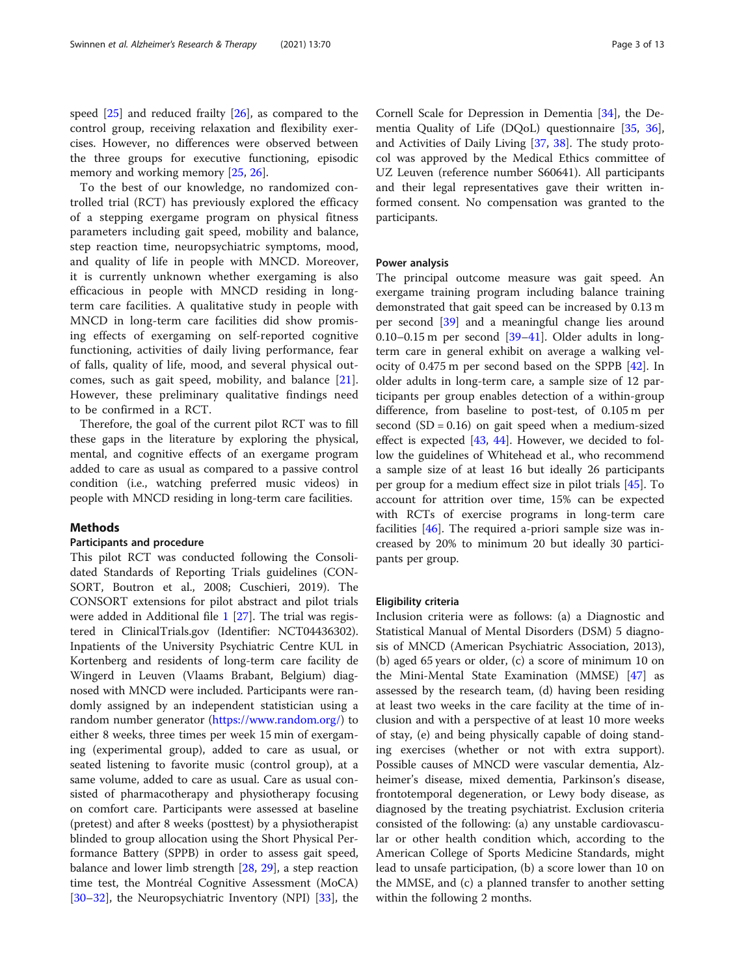speed [[25\]](#page-11-0) and reduced frailty [[26\]](#page-11-0), as compared to the control group, receiving relaxation and flexibility exercises. However, no differences were observed between the three groups for executive functioning, episodic memory and working memory [[25,](#page-11-0) [26](#page-11-0)].

To the best of our knowledge, no randomized controlled trial (RCT) has previously explored the efficacy of a stepping exergame program on physical fitness parameters including gait speed, mobility and balance, step reaction time, neuropsychiatric symptoms, mood, and quality of life in people with MNCD. Moreover, it is currently unknown whether exergaming is also efficacious in people with MNCD residing in longterm care facilities. A qualitative study in people with MNCD in long-term care facilities did show promising effects of exergaming on self-reported cognitive functioning, activities of daily living performance, fear of falls, quality of life, mood, and several physical outcomes, such as gait speed, mobility, and balance [[21](#page-11-0)]. However, these preliminary qualitative findings need to be confirmed in a RCT.

Therefore, the goal of the current pilot RCT was to fill these gaps in the literature by exploring the physical, mental, and cognitive effects of an exergame program added to care as usual as compared to a passive control condition (i.e., watching preferred music videos) in people with MNCD residing in long-term care facilities.

#### **Methods**

#### Participants and procedure

This pilot RCT was conducted following the Consolidated Standards of Reporting Trials guidelines (CON-SORT, Boutron et al., 2008; Cuschieri, 2019). The CONSORT extensions for pilot abstract and pilot trials were added in Additional file [1](#page-9-0) [[27\]](#page-11-0). The trial was registered in ClinicalTrials.gov (Identifier: NCT04436302). Inpatients of the University Psychiatric Centre KUL in Kortenberg and residents of long-term care facility de Wingerd in Leuven (Vlaams Brabant, Belgium) diagnosed with MNCD were included. Participants were randomly assigned by an independent statistician using a random number generator [\(https://www.random.org/](https://www.random.org/)) to either 8 weeks, three times per week 15 min of exergaming (experimental group), added to care as usual, or seated listening to favorite music (control group), at a same volume, added to care as usual. Care as usual consisted of pharmacotherapy and physiotherapy focusing on comfort care. Participants were assessed at baseline (pretest) and after 8 weeks (posttest) by a physiotherapist blinded to group allocation using the Short Physical Performance Battery (SPPB) in order to assess gait speed, balance and lower limb strength [\[28](#page-11-0), [29](#page-11-0)], a step reaction time test, the Montréal Cognitive Assessment (MoCA) [[30](#page-11-0)–[32](#page-11-0)], the Neuropsychiatric Inventory (NPI) [[33](#page-11-0)], the

Cornell Scale for Depression in Dementia [[34](#page-11-0)], the Dementia Quality of Life (DQoL) questionnaire [\[35](#page-11-0), [36](#page-11-0)], and Activities of Daily Living [\[37,](#page-11-0) [38\]](#page-11-0). The study protocol was approved by the Medical Ethics committee of UZ Leuven (reference number S60641). All participants and their legal representatives gave their written informed consent. No compensation was granted to the participants.

#### Power analysis

The principal outcome measure was gait speed. An exergame training program including balance training demonstrated that gait speed can be increased by 0.13 m per second [\[39](#page-11-0)] and a meaningful change lies around 0.10–0.15 m per second  $[39-41]$  $[39-41]$  $[39-41]$  $[39-41]$  $[39-41]$ . Older adults in longterm care in general exhibit on average a walking velocity of 0.475 m per second based on the SPPB [[42\]](#page-11-0). In older adults in long-term care, a sample size of 12 participants per group enables detection of a within-group difference, from baseline to post-test, of 0.105 m per second  $(SD = 0.16)$  on gait speed when a medium-sized effect is expected [\[43,](#page-11-0) [44\]](#page-11-0). However, we decided to follow the guidelines of Whitehead et al., who recommend a sample size of at least 16 but ideally 26 participants per group for a medium effect size in pilot trials [[45\]](#page-11-0). To account for attrition over time, 15% can be expected with RCTs of exercise programs in long-term care facilities [[46\]](#page-11-0). The required a-priori sample size was increased by 20% to minimum 20 but ideally 30 participants per group.

#### Eligibility criteria

Inclusion criteria were as follows: (a) a Diagnostic and Statistical Manual of Mental Disorders (DSM) 5 diagnosis of MNCD (American Psychiatric Association, 2013), (b) aged 65 years or older, (c) a score of minimum 10 on the Mini-Mental State Examination (MMSE) [\[47\]](#page-11-0) as assessed by the research team, (d) having been residing at least two weeks in the care facility at the time of inclusion and with a perspective of at least 10 more weeks of stay, (e) and being physically capable of doing standing exercises (whether or not with extra support). Possible causes of MNCD were vascular dementia, Alzheimer's disease, mixed dementia, Parkinson's disease, frontotemporal degeneration, or Lewy body disease, as diagnosed by the treating psychiatrist. Exclusion criteria consisted of the following: (a) any unstable cardiovascular or other health condition which, according to the American College of Sports Medicine Standards, might lead to unsafe participation, (b) a score lower than 10 on the MMSE, and (c) a planned transfer to another setting within the following 2 months.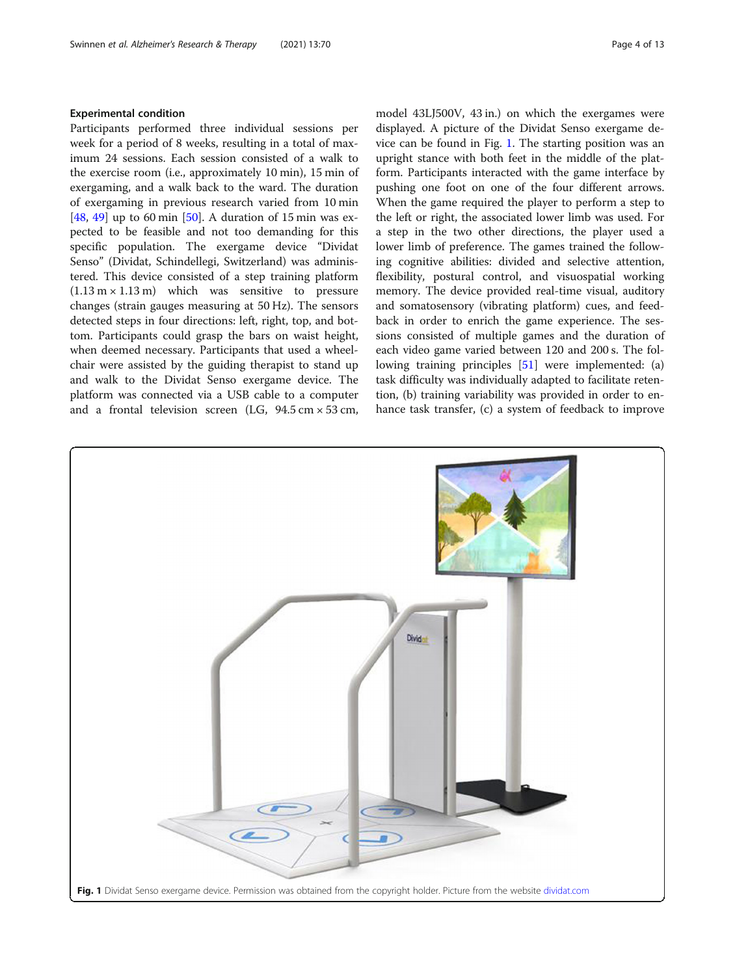#### Experimental condition

Participants performed three individual sessions per week for a period of 8 weeks, resulting in a total of maximum 24 sessions. Each session consisted of a walk to the exercise room (i.e., approximately 10 min), 15 min of exergaming, and a walk back to the ward. The duration of exergaming in previous research varied from 10 min [[48,](#page-11-0) [49\]](#page-11-0) up to 60 min [[50](#page-11-0)]. A duration of 15 min was expected to be feasible and not too demanding for this specific population. The exergame device "Dividat Senso" (Dividat, Schindellegi, Switzerland) was administered. This device consisted of a step training platform  $(1.13 \text{ m} \times 1.13 \text{ m})$  which was sensitive to pressure changes (strain gauges measuring at 50 Hz). The sensors detected steps in four directions: left, right, top, and bottom. Participants could grasp the bars on waist height, when deemed necessary. Participants that used a wheelchair were assisted by the guiding therapist to stand up and walk to the Dividat Senso exergame device. The platform was connected via a USB cable to a computer and a frontal television screen (LG,  $94.5 \text{ cm} \times 53 \text{ cm}$ ,

model 43LJ500V, 43 in.) on which the exergames were displayed. A picture of the Dividat Senso exergame device can be found in Fig. 1. The starting position was an upright stance with both feet in the middle of the platform. Participants interacted with the game interface by pushing one foot on one of the four different arrows. When the game required the player to perform a step to the left or right, the associated lower limb was used. For a step in the two other directions, the player used a lower limb of preference. The games trained the following cognitive abilities: divided and selective attention, flexibility, postural control, and visuospatial working memory. The device provided real-time visual, auditory and somatosensory (vibrating platform) cues, and feedback in order to enrich the game experience. The sessions consisted of multiple games and the duration of each video game varied between 120 and 200 s. The fol-lowing training principles [\[51](#page-11-0)] were implemented: (a) task difficulty was individually adapted to facilitate retention, (b) training variability was provided in order to enhance task transfer, (c) a system of feedback to improve

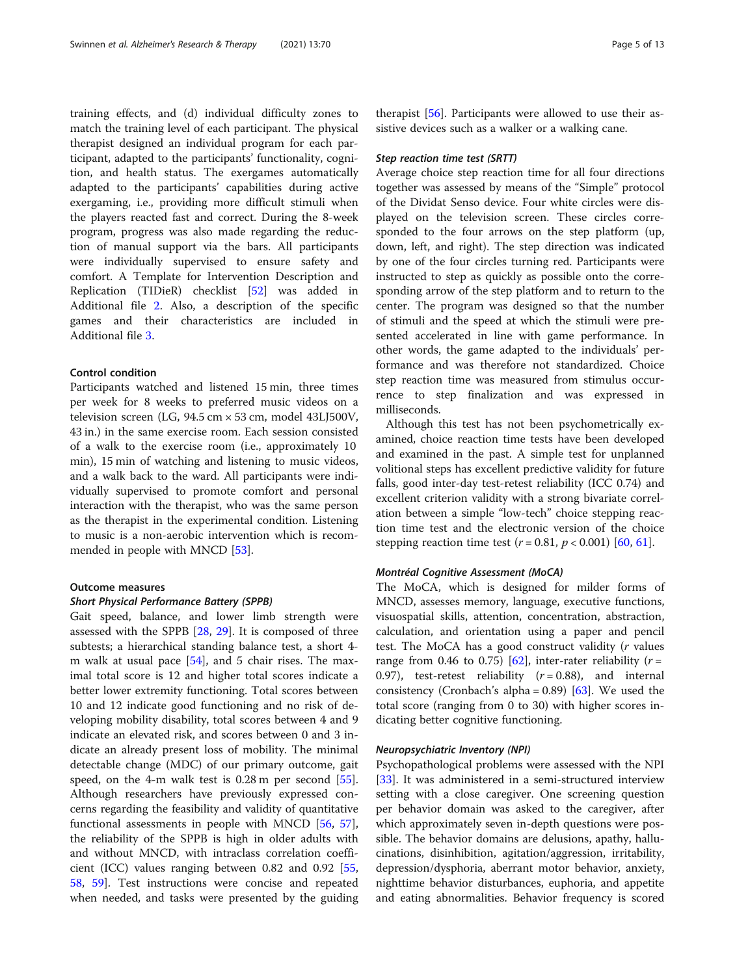training effects, and (d) individual difficulty zones to match the training level of each participant. The physical therapist designed an individual program for each participant, adapted to the participants' functionality, cognition, and health status. The exergames automatically adapted to the participants' capabilities during active exergaming, i.e., providing more difficult stimuli when the players reacted fast and correct. During the 8-week program, progress was also made regarding the reduction of manual support via the bars. All participants were individually supervised to ensure safety and comfort. A Template for Intervention Description and Replication (TIDieR) checklist [[52\]](#page-11-0) was added in Additional file [2.](#page-9-0) Also, a description of the specific games and their characteristics are included in Additional file [3](#page-9-0).

#### Control condition

Participants watched and listened 15 min, three times per week for 8 weeks to preferred music videos on a television screen (LG, 94.5 cm × 53 cm, model 43LJ500V, 43 in.) in the same exercise room. Each session consisted of a walk to the exercise room (i.e., approximately 10 min), 15 min of watching and listening to music videos, and a walk back to the ward. All participants were individually supervised to promote comfort and personal interaction with the therapist, who was the same person as the therapist in the experimental condition. Listening to music is a non-aerobic intervention which is recommended in people with MNCD [[53](#page-11-0)].

#### Outcome measures

#### Short Physical Performance Battery (SPPB)

Gait speed, balance, and lower limb strength were assessed with the SPPB [[28,](#page-11-0) [29\]](#page-11-0). It is composed of three subtests; a hierarchical standing balance test, a short 4 m walk at usual pace [[54\]](#page-11-0), and 5 chair rises. The maximal total score is 12 and higher total scores indicate a better lower extremity functioning. Total scores between 10 and 12 indicate good functioning and no risk of developing mobility disability, total scores between 4 and 9 indicate an elevated risk, and scores between 0 and 3 indicate an already present loss of mobility. The minimal detectable change (MDC) of our primary outcome, gait speed, on the 4-m walk test is 0.28 m per second [\[55](#page-11-0)]. Although researchers have previously expressed concerns regarding the feasibility and validity of quantitative functional assessments in people with MNCD [\[56,](#page-11-0) [57](#page-11-0)], the reliability of the SPPB is high in older adults with and without MNCD, with intraclass correlation coefficient (ICC) values ranging between 0.82 and 0.92 [[55](#page-11-0), [58,](#page-11-0) [59](#page-12-0)]. Test instructions were concise and repeated when needed, and tasks were presented by the guiding

therapist [\[56\]](#page-11-0). Participants were allowed to use their assistive devices such as a walker or a walking cane.

#### Step reaction time test (SRTT)

Average choice step reaction time for all four directions together was assessed by means of the "Simple" protocol of the Dividat Senso device. Four white circles were displayed on the television screen. These circles corresponded to the four arrows on the step platform (up, down, left, and right). The step direction was indicated by one of the four circles turning red. Participants were instructed to step as quickly as possible onto the corresponding arrow of the step platform and to return to the center. The program was designed so that the number of stimuli and the speed at which the stimuli were presented accelerated in line with game performance. In other words, the game adapted to the individuals' performance and was therefore not standardized. Choice step reaction time was measured from stimulus occurrence to step finalization and was expressed in milliseconds.

Although this test has not been psychometrically examined, choice reaction time tests have been developed and examined in the past. A simple test for unplanned volitional steps has excellent predictive validity for future falls, good inter-day test-retest reliability (ICC 0.74) and excellent criterion validity with a strong bivariate correlation between a simple "low-tech" choice stepping reaction time test and the electronic version of the choice stepping reaction time test ( $r = 0.81$ ,  $p < 0.001$ ) [[60,](#page-12-0) [61](#page-12-0)].

#### Montréal Cognitive Assessment (MoCA)

The MoCA, which is designed for milder forms of MNCD, assesses memory, language, executive functions, visuospatial skills, attention, concentration, abstraction, calculation, and orientation using a paper and pencil test. The MoCA has a good construct validity (r values range from 0.46 to 0.75) [\[62\]](#page-12-0), inter-rater reliability ( $r =$ 0.97), test-retest reliability  $(r = 0.88)$ , and internal consistency (Cronbach's alpha =  $0.89$ ) [ $63$ ]. We used the total score (ranging from 0 to 30) with higher scores indicating better cognitive functioning.

#### Neuropsychiatric Inventory (NPI)

Psychopathological problems were assessed with the NPI [[33\]](#page-11-0). It was administered in a semi-structured interview setting with a close caregiver. One screening question per behavior domain was asked to the caregiver, after which approximately seven in-depth questions were possible. The behavior domains are delusions, apathy, hallucinations, disinhibition, agitation/aggression, irritability, depression/dysphoria, aberrant motor behavior, anxiety, nighttime behavior disturbances, euphoria, and appetite and eating abnormalities. Behavior frequency is scored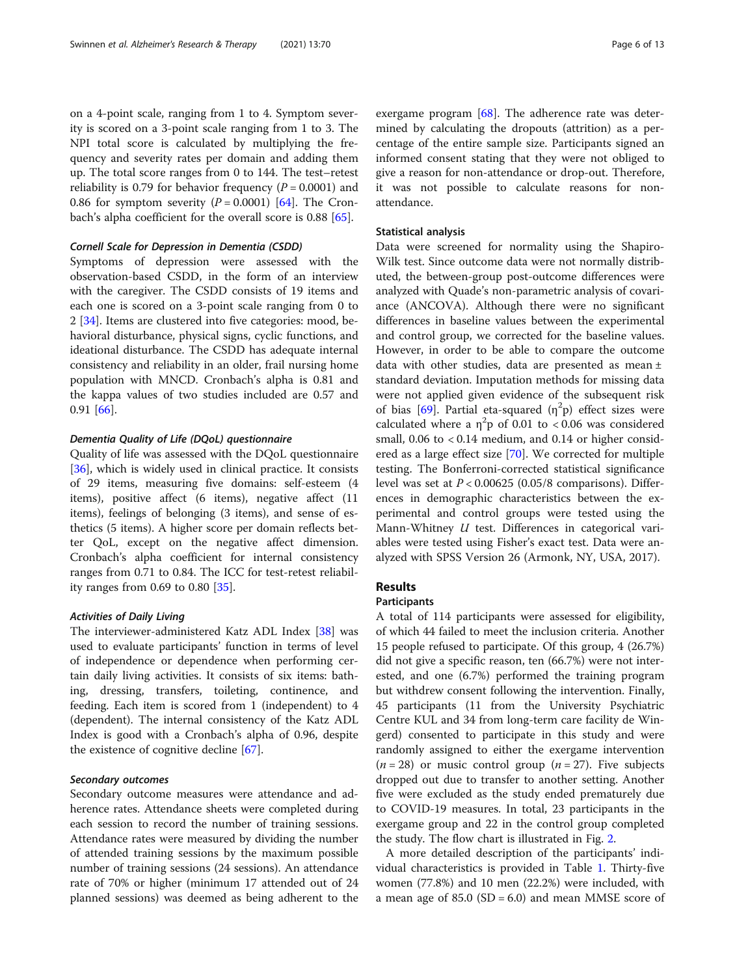on a 4-point scale, ranging from 1 to 4. Symptom severity is scored on a 3-point scale ranging from 1 to 3. The NPI total score is calculated by multiplying the frequency and severity rates per domain and adding them up. The total score ranges from 0 to 144. The test–retest reliability is 0.79 for behavior frequency ( $P = 0.0001$ ) and 0.86 for symptom severity  $(P = 0.0001)$  [\[64](#page-12-0)]. The Cronbach's alpha coefficient for the overall score is 0.88 [[65](#page-12-0)].

#### Cornell Scale for Depression in Dementia (CSDD)

Symptoms of depression were assessed with the observation-based CSDD, in the form of an interview with the caregiver. The CSDD consists of 19 items and each one is scored on a 3-point scale ranging from 0 to 2 [[34](#page-11-0)]. Items are clustered into five categories: mood, behavioral disturbance, physical signs, cyclic functions, and ideational disturbance. The CSDD has adequate internal consistency and reliability in an older, frail nursing home population with MNCD. Cronbach's alpha is 0.81 and the kappa values of two studies included are 0.57 and 0.91 [[66\]](#page-12-0).

#### Dementia Quality of Life (DQoL) questionnaire

Quality of life was assessed with the DQoL questionnaire [[36\]](#page-11-0), which is widely used in clinical practice. It consists of 29 items, measuring five domains: self-esteem (4 items), positive affect (6 items), negative affect (11 items), feelings of belonging (3 items), and sense of esthetics (5 items). A higher score per domain reflects better QoL, except on the negative affect dimension. Cronbach's alpha coefficient for internal consistency ranges from 0.71 to 0.84. The ICC for test-retest reliability ranges from 0.69 to 0.80 [[35\]](#page-11-0).

#### Activities of Daily Living

The interviewer-administered Katz ADL Index [[38](#page-11-0)] was used to evaluate participants' function in terms of level of independence or dependence when performing certain daily living activities. It consists of six items: bathing, dressing, transfers, toileting, continence, and feeding. Each item is scored from 1 (independent) to 4 (dependent). The internal consistency of the Katz ADL Index is good with a Cronbach's alpha of 0.96, despite the existence of cognitive decline [\[67](#page-12-0)].

#### Secondary outcomes

Secondary outcome measures were attendance and adherence rates. Attendance sheets were completed during each session to record the number of training sessions. Attendance rates were measured by dividing the number of attended training sessions by the maximum possible number of training sessions (24 sessions). An attendance rate of 70% or higher (minimum 17 attended out of 24 planned sessions) was deemed as being adherent to the

exergame program  $[68]$  $[68]$ . The adherence rate was determined by calculating the dropouts (attrition) as a percentage of the entire sample size. Participants signed an informed consent stating that they were not obliged to give a reason for non-attendance or drop-out. Therefore, it was not possible to calculate reasons for nonattendance.

#### Statistical analysis

Data were screened for normality using the Shapiro-Wilk test. Since outcome data were not normally distributed, the between-group post-outcome differences were analyzed with Quade's non-parametric analysis of covariance (ANCOVA). Although there were no significant differences in baseline values between the experimental and control group, we corrected for the baseline values. However, in order to be able to compare the outcome data with other studies, data are presented as mean ± standard deviation. Imputation methods for missing data were not applied given evidence of the subsequent risk of bias [[69\]](#page-12-0). Partial eta-squared  $(\eta^2 p)$  effect sizes were calculated where a  $\eta^2 p$  of 0.01 to < 0.06 was considered small,  $0.06$  to  $< 0.14$  medium, and  $0.14$  or higher considered as a large effect size [\[70\]](#page-12-0). We corrected for multiple testing. The Bonferroni-corrected statistical significance level was set at  $P < 0.00625$  (0.05/8 comparisons). Differences in demographic characteristics between the experimental and control groups were tested using the Mann-Whitney *U* test. Differences in categorical variables were tested using Fisher's exact test. Data were analyzed with SPSS Version 26 (Armonk, NY, USA, 2017).

#### Results

#### Participants

A total of 114 participants were assessed for eligibility, of which 44 failed to meet the inclusion criteria. Another 15 people refused to participate. Of this group, 4 (26.7%) did not give a specific reason, ten (66.7%) were not interested, and one (6.7%) performed the training program but withdrew consent following the intervention. Finally, 45 participants (11 from the University Psychiatric Centre KUL and 34 from long-term care facility de Wingerd) consented to participate in this study and were randomly assigned to either the exergame intervention  $(n = 28)$  or music control group  $(n = 27)$ . Five subjects dropped out due to transfer to another setting. Another five were excluded as the study ended prematurely due to COVID-19 measures. In total, 23 participants in the exergame group and 22 in the control group completed the study. The flow chart is illustrated in Fig. [2](#page-6-0).

A more detailed description of the participants' individual characteristics is provided in Table [1.](#page-6-0) Thirty-five women (77.8%) and 10 men (22.2%) were included, with a mean age of  $85.0$  (SD = 6.0) and mean MMSE score of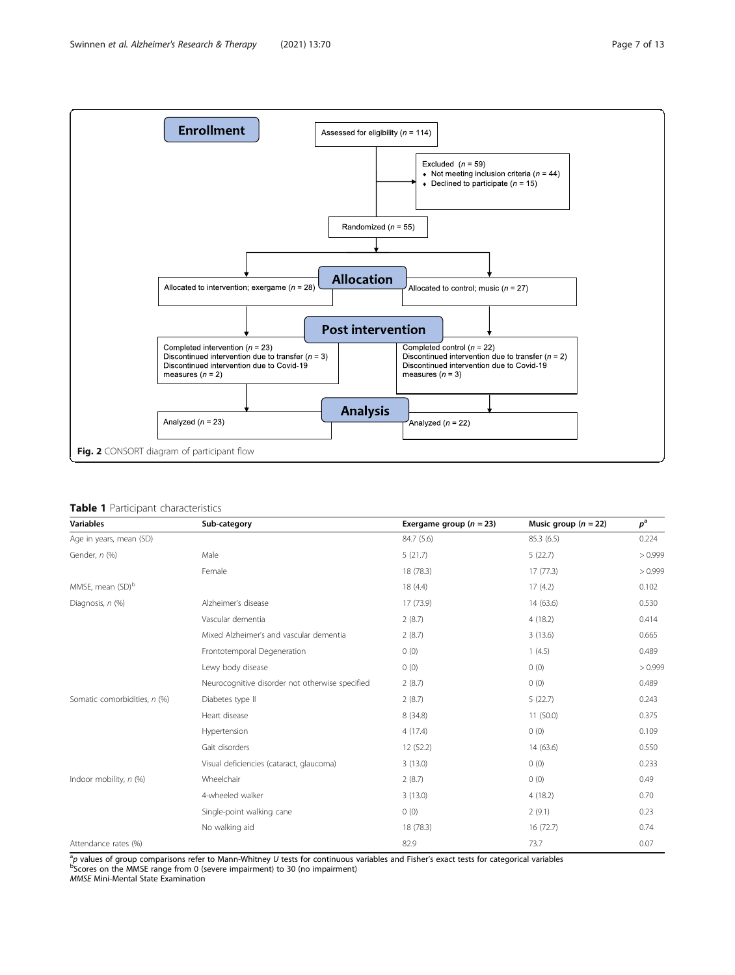<span id="page-6-0"></span>

#### Table 1 Participant characteristics

| <b>Variables</b>             | Sub-category                                    | Exergame group ( $n = 23$ ) | Music group $(n = 22)$ | $p^{\rm a}$ |
|------------------------------|-------------------------------------------------|-----------------------------|------------------------|-------------|
| Age in years, mean (SD)      |                                                 | 84.7 (5.6)                  | 85.3 (6.5)             | 0.224       |
| Gender, n (%)                | Male                                            | 5(21.7)                     | 5(22.7)                | >0.999      |
|                              | Female                                          | 18 (78.3)                   | 17(77.3)               | >0.999      |
| MMSE, mean (SD) <sup>b</sup> |                                                 | 18 (4.4)                    | 17(4.2)                | 0.102       |
| Diagnosis, n (%)             | Alzheimer's disease                             | 17 (73.9)                   | 14 (63.6)              | 0.530       |
|                              | Vascular dementia                               | 2(8.7)                      | 4(18.2)                | 0.414       |
|                              | Mixed Alzheimer's and vascular dementia         | 2(8.7)                      | 3(13.6)                | 0.665       |
|                              | Frontotemporal Degeneration                     | 0(0)                        | 1(4.5)                 | 0.489       |
|                              | Lewy body disease                               | 0(0)                        | 0(0)                   | >0.999      |
|                              | Neurocognitive disorder not otherwise specified | 2(8.7)                      | 0(0)                   | 0.489       |
| Somatic comorbidities, n (%) | Diabetes type II                                | 2(8.7)                      | 5(22.7)                | 0.243       |
|                              | Heart disease                                   | 8 (34.8)                    | 11(50.0)               | 0.375       |
|                              | Hypertension                                    | 4(17.4)                     | 0(0)                   | 0.109       |
|                              | Gait disorders                                  | 12 (52.2)                   | 14(63.6)               | 0.550       |
|                              | Visual deficiencies (cataract, glaucoma)        | 3(13.0)                     | 0(0)                   | 0.233       |
| Indoor mobility, n (%)       | Wheelchair                                      | 2(8.7)                      | 0(0)                   | 0.49        |
|                              | 4-wheeled walker                                | 3(13.0)                     | 4(18.2)                | 0.70        |
|                              | Single-point walking cane                       | 0(0)                        | 2(9.1)                 | 0.23        |
|                              | No walking aid                                  | 18 (78.3)                   | 16(72.7)               | 0.74        |
| Attendance rates (%)         |                                                 | 82.9                        | 73.7                   | 0.07        |

<sup>a</sup>p values of group comparisons refer to Mann-Whitney *U* tests for continuous variables and Fisher's exact tests for categorical variables<br><sup>b</sup>Scores on the MMSE range from 0 (severe impairment) to 30 (no impairment)<br>*MMS*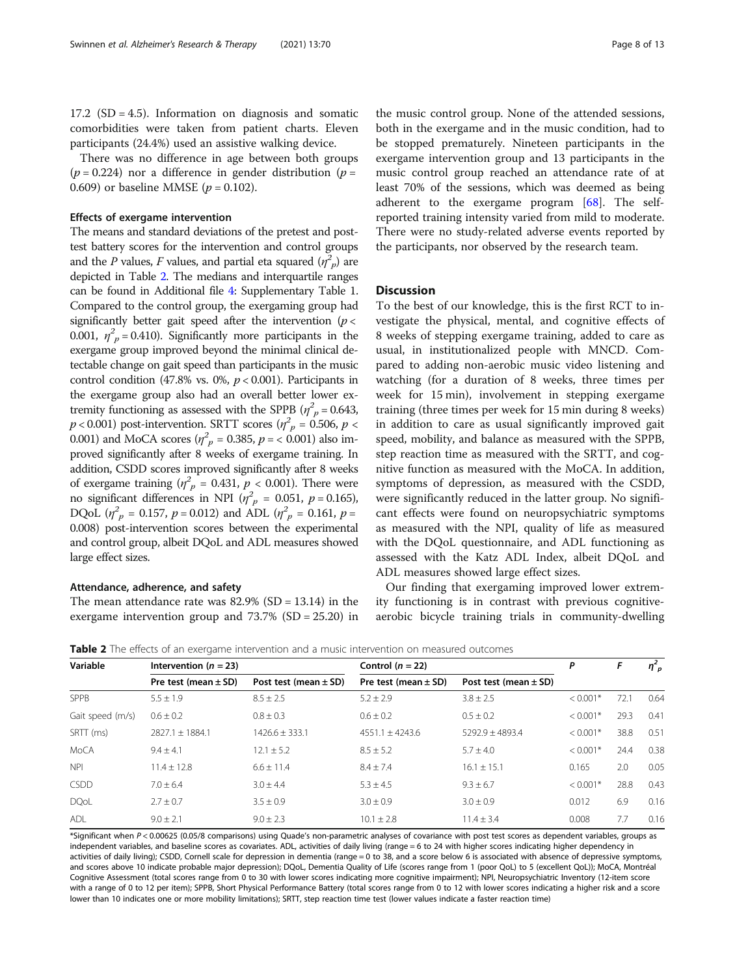There was no difference in age between both groups ( $p = 0.224$ ) nor a difference in gender distribution ( $p =$ 0.609) or baseline MMSE ( $p = 0.102$ ).

#### Effects of exergame intervention

The means and standard deviations of the pretest and posttest battery scores for the intervention and control groups and the P values, F values, and partial eta squared  $(\eta^2_{\phantom{2}p})$  are depicted in Table 2. The medians and interquartile ranges can be found in Additional file [4:](#page-9-0) Supplementary Table 1. Compared to the control group, the exergaming group had significantly better gait speed after the intervention ( $p <$ 0.001,  $\eta^2_{p}$  = 0.410). Significantly more participants in the exergame group improved beyond the minimal clinical detectable change on gait speed than participants in the music control condition (47.8% vs. 0%,  $p < 0.001$ ). Participants in the exergame group also had an overall better lower extremity functioning as assessed with the SPPB ( $\eta_p^2$  = 0.643,  $p < 0.001$ ) post-intervention. SRTT scores ( $\eta_{p}^{2} = 0.506$ ,  $p <$ 0.001) and MoCA scores  $(\eta_p^2 = 0.385, p = 0.001)$  also improved significantly after 8 weeks of exergame training. In addition, CSDD scores improved significantly after 8 weeks of exergame training  $(\eta_p^2 = 0.431, p < 0.001)$ . There were no significant differences in NPI ( $\eta_p^2 = 0.051$ ,  $p = 0.165$ ), DQoL  $(\eta_p^2 = 0.157, p = 0.012)$  and ADL  $(\eta_p^2 = 0.161, p = 0.161)$ 0.008) post-intervention scores between the experimental and control group, albeit DQoL and ADL measures showed large effect sizes.

#### Attendance, adherence, and safety

The mean attendance rate was  $82.9\%$  (SD = 13.14) in the exergame intervention group and 73.7% (SD = 25.20) in

the music control group. None of the attended sessions, both in the exergame and in the music condition, had to be stopped prematurely. Nineteen participants in the exergame intervention group and 13 participants in the music control group reached an attendance rate of at least 70% of the sessions, which was deemed as being adherent to the exergame program [\[68](#page-12-0)]. The selfreported training intensity varied from mild to moderate. There were no study-related adverse events reported by the participants, nor observed by the research team.

#### **Discussion**

To the best of our knowledge, this is the first RCT to investigate the physical, mental, and cognitive effects of 8 weeks of stepping exergame training, added to care as usual, in institutionalized people with MNCD. Compared to adding non-aerobic music video listening and watching (for a duration of 8 weeks, three times per week for 15 min), involvement in stepping exergame training (three times per week for 15 min during 8 weeks) in addition to care as usual significantly improved gait speed, mobility, and balance as measured with the SPPB, step reaction time as measured with the SRTT, and cognitive function as measured with the MoCA. In addition, symptoms of depression, as measured with the CSDD, were significantly reduced in the latter group. No significant effects were found on neuropsychiatric symptoms as measured with the NPI, quality of life as measured with the DQoL questionnaire, and ADL functioning as assessed with the Katz ADL Index, albeit DQoL and ADL measures showed large effect sizes.

Our finding that exergaming improved lower extremity functioning is in contrast with previous cognitiveaerobic bicycle training trials in community-dwelling

Table 2 The effects of an exergame intervention and a music intervention on measured outcomes

| Variable         | Intervention $(n = 23)$  |                           | Control $(n = 22)$       |                           | Ρ          |      | $\eta_{p}^{2}$ |
|------------------|--------------------------|---------------------------|--------------------------|---------------------------|------------|------|----------------|
|                  | Pre test (mean $\pm$ SD) | Post test (mean $\pm$ SD) | Pre test (mean $\pm$ SD) | Post test (mean $\pm$ SD) |            |      |                |
| SPPB             | $5.5 \pm 1.9$            | $8.5 \pm 2.5$             | $5.2 \pm 2.9$            | $3.8 \pm 2.5$             | $< 0.001*$ | 72.1 | 0.64           |
| Gait speed (m/s) | $0.6 \pm 0.2$            | $0.8 \pm 0.3$             | $0.6 \pm 0.2$            | $0.5 \pm 0.2$             | $< 0.001*$ | 29.3 | 0.41           |
| SRTT (ms)        | $7827.1 + 1884.1$        | $1426.6 + 333.1$          | $4551.1 + 4243.6$        | $5292.9 + 4893.4$         | $< 0.001*$ | 38.8 | 0.51           |
| <b>MoCA</b>      | $9.4 \pm 4.1$            | $12.1 \pm 5.2$            | $8.5 \pm 5.2$            | $5.7 + 4.0$               | $< 0.001*$ | 24.4 | 0.38           |
| <b>NPI</b>       | $11.4 + 12.8$            | $6.6 + 11.4$              | $8.4 \pm 7.4$            | $16.1 \pm 15.1$           | 0.165      | 2.0  | 0.05           |
| <b>CSDD</b>      | $7.0 + 6.4$              | $3.0 + 4.4$               | $5.3 \pm 4.5$            | $9.3 + 6.7$               | $< 0.001*$ | 28.8 | 0.43           |
| <b>DQoL</b>      | $2.7 \pm 0.7$            | $3.5 + 0.9$               | $3.0 \pm 0.9$            | $3.0 + 0.9$               | 0.012      | 6.9  | 0.16           |
| <b>ADL</b>       | $9.0 + 2.1$              | $9.0 + 2.3$               | $10.1 + 2.8$             | $11.4 + 3.4$              | 0.008      | 7.7  | 0.16           |

\*Significant when P < 0.00625 (0.05/8 comparisons) using Quade's non-parametric analyses of covariance with post test scores as dependent variables, groups as independent variables, and baseline scores as covariates. ADL, activities of daily living (range = 6 to 24 with higher scores indicating higher dependency in activities of daily living); CSDD, Cornell scale for depression in dementia (range = 0 to 38, and a score below 6 is associated with absence of depressive symptoms, and scores above 10 indicate probable major depression); DQoL, Dementia Quality of Life (scores range from 1 (poor QoL) to 5 (excellent QoL)); MoCA, Montréal Cognitive Assessment (total scores range from 0 to 30 with lower scores indicating more cognitive impairment); NPI, Neuropsychiatric Inventory (12-item score with a range of 0 to 12 per item); SPPB, Short Physical Performance Battery (total scores range from 0 to 12 with lower scores indicating a higher risk and a score lower than 10 indicates one or more mobility limitations); SRTT, step reaction time test (lower values indicate a faster reaction time)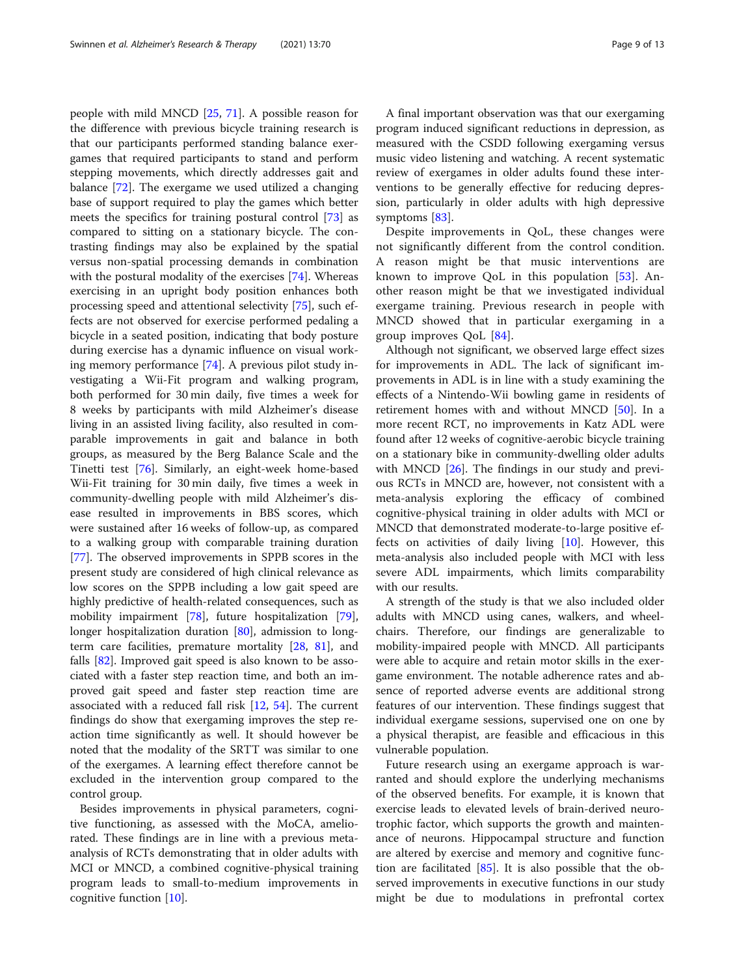people with mild MNCD [[25,](#page-11-0) [71](#page-12-0)]. A possible reason for the difference with previous bicycle training research is that our participants performed standing balance exergames that required participants to stand and perform stepping movements, which directly addresses gait and balance [\[72\]](#page-12-0). The exergame we used utilized a changing base of support required to play the games which better meets the specifics for training postural control [\[73](#page-12-0)] as compared to sitting on a stationary bicycle. The contrasting findings may also be explained by the spatial versus non-spatial processing demands in combination with the postural modality of the exercises [[74\]](#page-12-0). Whereas exercising in an upright body position enhances both processing speed and attentional selectivity [[75\]](#page-12-0), such effects are not observed for exercise performed pedaling a bicycle in a seated position, indicating that body posture during exercise has a dynamic influence on visual working memory performance [\[74\]](#page-12-0). A previous pilot study investigating a Wii-Fit program and walking program, both performed for 30 min daily, five times a week for 8 weeks by participants with mild Alzheimer's disease living in an assisted living facility, also resulted in comparable improvements in gait and balance in both groups, as measured by the Berg Balance Scale and the Tinetti test [[76\]](#page-12-0). Similarly, an eight-week home-based Wii-Fit training for 30 min daily, five times a week in community-dwelling people with mild Alzheimer's disease resulted in improvements in BBS scores, which were sustained after 16 weeks of follow-up, as compared to a walking group with comparable training duration [[77\]](#page-12-0). The observed improvements in SPPB scores in the present study are considered of high clinical relevance as low scores on the SPPB including a low gait speed are highly predictive of health-related consequences, such as mobility impairment [[78\]](#page-12-0), future hospitalization [\[79](#page-12-0)], longer hospitalization duration [\[80](#page-12-0)], admission to longterm care facilities, premature mortality [[28,](#page-11-0) [81\]](#page-12-0), and falls [\[82](#page-12-0)]. Improved gait speed is also known to be associated with a faster step reaction time, and both an improved gait speed and faster step reaction time are associated with a reduced fall risk [[12,](#page-10-0) [54](#page-11-0)]. The current findings do show that exergaming improves the step reaction time significantly as well. It should however be noted that the modality of the SRTT was similar to one of the exergames. A learning effect therefore cannot be excluded in the intervention group compared to the control group.

Besides improvements in physical parameters, cognitive functioning, as assessed with the MoCA, ameliorated. These findings are in line with a previous metaanalysis of RCTs demonstrating that in older adults with MCI or MNCD, a combined cognitive-physical training program leads to small-to-medium improvements in cognitive function [[10\]](#page-10-0).

A final important observation was that our exergaming program induced significant reductions in depression, as measured with the CSDD following exergaming versus music video listening and watching. A recent systematic review of exergames in older adults found these interventions to be generally effective for reducing depression, particularly in older adults with high depressive symptoms [[83](#page-12-0)].

Despite improvements in QoL, these changes were not significantly different from the control condition. A reason might be that music interventions are known to improve QoL in this population [[53\]](#page-11-0). Another reason might be that we investigated individual exergame training. Previous research in people with MNCD showed that in particular exergaming in a group improves QoL [[84\]](#page-12-0).

Although not significant, we observed large effect sizes for improvements in ADL. The lack of significant improvements in ADL is in line with a study examining the effects of a Nintendo-Wii bowling game in residents of retirement homes with and without MNCD [[50\]](#page-11-0). In a more recent RCT, no improvements in Katz ADL were found after 12 weeks of cognitive-aerobic bicycle training on a stationary bike in community-dwelling older adults with MNCD [\[26\]](#page-11-0). The findings in our study and previous RCTs in MNCD are, however, not consistent with a meta-analysis exploring the efficacy of combined cognitive-physical training in older adults with MCI or MNCD that demonstrated moderate-to-large positive effects on activities of daily living  $[10]$  $[10]$ . However, this meta-analysis also included people with MCI with less severe ADL impairments, which limits comparability with our results.

A strength of the study is that we also included older adults with MNCD using canes, walkers, and wheelchairs. Therefore, our findings are generalizable to mobility-impaired people with MNCD. All participants were able to acquire and retain motor skills in the exergame environment. The notable adherence rates and absence of reported adverse events are additional strong features of our intervention. These findings suggest that individual exergame sessions, supervised one on one by a physical therapist, are feasible and efficacious in this vulnerable population.

Future research using an exergame approach is warranted and should explore the underlying mechanisms of the observed benefits. For example, it is known that exercise leads to elevated levels of brain-derived neurotrophic factor, which supports the growth and maintenance of neurons. Hippocampal structure and function are altered by exercise and memory and cognitive function are facilitated  $[85]$  $[85]$ . It is also possible that the observed improvements in executive functions in our study might be due to modulations in prefrontal cortex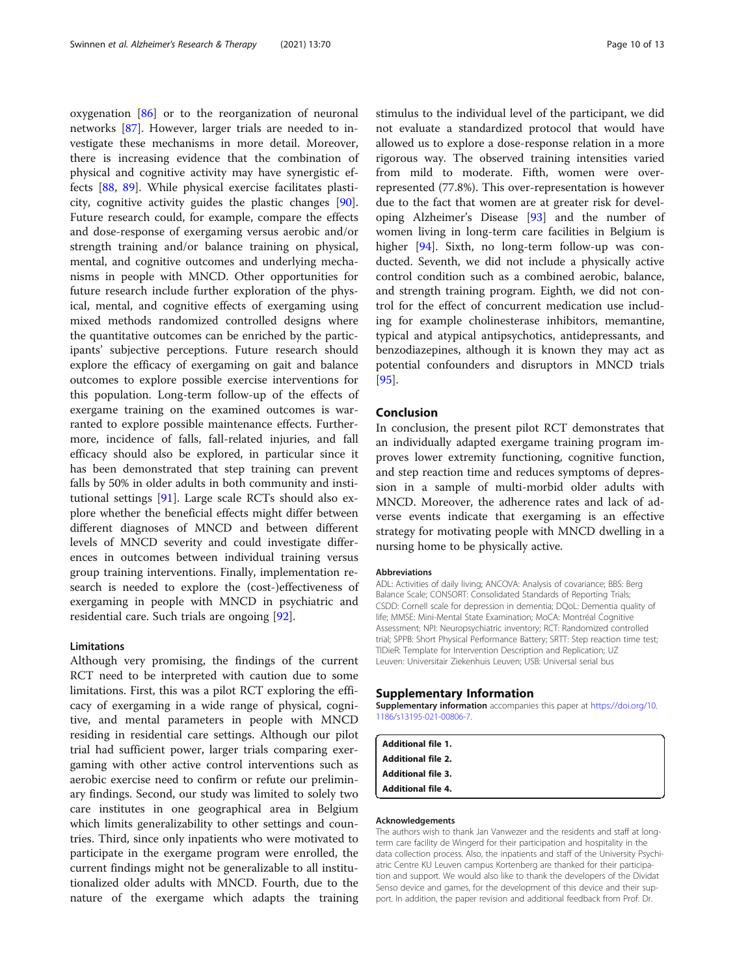<span id="page-9-0"></span>oxygenation [\[86](#page-12-0)] or to the reorganization of neuronal networks [[87](#page-12-0)]. However, larger trials are needed to investigate these mechanisms in more detail. Moreover, there is increasing evidence that the combination of physical and cognitive activity may have synergistic effects [[88,](#page-12-0) [89](#page-12-0)]. While physical exercise facilitates plasticity, cognitive activity guides the plastic changes [\[90](#page-12-0)]. Future research could, for example, compare the effects and dose-response of exergaming versus aerobic and/or strength training and/or balance training on physical, mental, and cognitive outcomes and underlying mechanisms in people with MNCD. Other opportunities for future research include further exploration of the physical, mental, and cognitive effects of exergaming using mixed methods randomized controlled designs where the quantitative outcomes can be enriched by the participants' subjective perceptions. Future research should explore the efficacy of exergaming on gait and balance outcomes to explore possible exercise interventions for this population. Long-term follow-up of the effects of exergame training on the examined outcomes is warranted to explore possible maintenance effects. Furthermore, incidence of falls, fall-related injuries, and fall efficacy should also be explored, in particular since it has been demonstrated that step training can prevent falls by 50% in older adults in both community and institutional settings [\[91](#page-12-0)]. Large scale RCTs should also explore whether the beneficial effects might differ between different diagnoses of MNCD and between different levels of MNCD severity and could investigate differences in outcomes between individual training versus group training interventions. Finally, implementation research is needed to explore the (cost-)effectiveness of exergaming in people with MNCD in psychiatric and residential care. Such trials are ongoing [\[92](#page-12-0)].

#### Limitations

Although very promising, the findings of the current RCT need to be interpreted with caution due to some limitations. First, this was a pilot RCT exploring the efficacy of exergaming in a wide range of physical, cognitive, and mental parameters in people with MNCD residing in residential care settings. Although our pilot trial had sufficient power, larger trials comparing exergaming with other active control interventions such as aerobic exercise need to confirm or refute our preliminary findings. Second, our study was limited to solely two care institutes in one geographical area in Belgium which limits generalizability to other settings and countries. Third, since only inpatients who were motivated to participate in the exergame program were enrolled, the current findings might not be generalizable to all institutionalized older adults with MNCD. Fourth, due to the nature of the exergame which adapts the training stimulus to the individual level of the participant, we did not evaluate a standardized protocol that would have allowed us to explore a dose-response relation in a more rigorous way. The observed training intensities varied from mild to moderate. Fifth, women were overrepresented (77.8%). This over-representation is however due to the fact that women are at greater risk for developing Alzheimer's Disease [\[93\]](#page-12-0) and the number of women living in long-term care facilities in Belgium is higher [[94\]](#page-12-0). Sixth, no long-term follow-up was conducted. Seventh, we did not include a physically active control condition such as a combined aerobic, balance, and strength training program. Eighth, we did not control for the effect of concurrent medication use including for example cholinesterase inhibitors, memantine, typical and atypical antipsychotics, antidepressants, and benzodiazepines, although it is known they may act as potential confounders and disruptors in MNCD trials [[95\]](#page-12-0).

#### Conclusion

In conclusion, the present pilot RCT demonstrates that an individually adapted exergame training program improves lower extremity functioning, cognitive function, and step reaction time and reduces symptoms of depression in a sample of multi-morbid older adults with MNCD. Moreover, the adherence rates and lack of adverse events indicate that exergaming is an effective strategy for motivating people with MNCD dwelling in a nursing home to be physically active.

#### Abbreviations

ADL: Activities of daily living; ANCOVA: Analysis of covariance; BBS: Berg Balance Scale; CONSORT: Consolidated Standards of Reporting Trials; CSDD: Cornell scale for depression in dementia; DQoL: Dementia quality of life; MMSE: Mini-Mental State Examination; MoCA: Montréal Cognitive Assessment; NPI: Neuropsychiatric inventory; RCT: Randomized controlled trial; SPPB: Short Physical Performance Battery; SRTT: Step reaction time test; TIDieR: Template for Intervention Description and Replication; UZ Leuven: Universitair Ziekenhuis Leuven; USB: Universal serial bus

#### Supplementary Information

Supplementary information accompanies this paper at [https://doi.org/10.](https://doi.org/10.1186/s13195-021-00806-7) [1186/s13195-021-00806-7](https://doi.org/10.1186/s13195-021-00806-7).

| <b>Additional file 1.</b> |  |  |
|---------------------------|--|--|
| <b>Additional file 2.</b> |  |  |
| <b>Additional file 3.</b> |  |  |
| <b>Additional file 4.</b> |  |  |

#### Acknowledgements

The authors wish to thank Jan Vanwezer and the residents and staff at longterm care facility de Wingerd for their participation and hospitality in the data collection process. Also, the inpatients and staff of the University Psychiatric Centre KU Leuven campus Kortenberg are thanked for their participation and support. We would also like to thank the developers of the Dividat Senso device and games, for the development of this device and their support. In addition, the paper revision and additional feedback from Prof. Dr.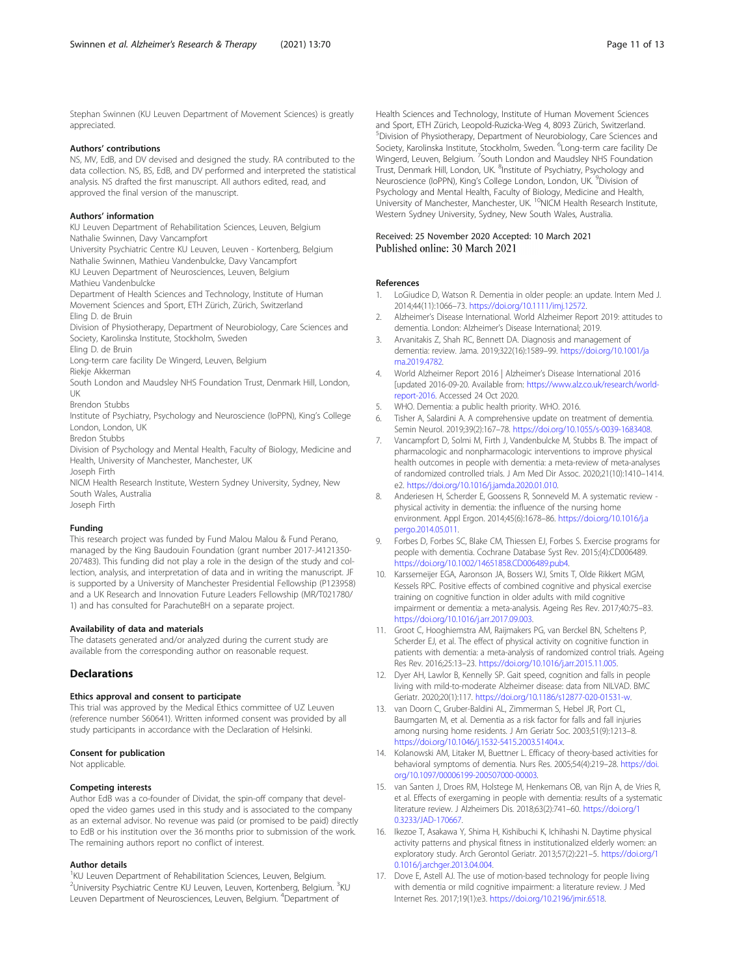<span id="page-10-0"></span>Stephan Swinnen (KU Leuven Department of Movement Sciences) is greatly appreciated.

#### Authors' contributions

NS, MV, EdB, and DV devised and designed the study. RA contributed to the data collection. NS, BS, EdB, and DV performed and interpreted the statistical analysis. NS drafted the first manuscript. All authors edited, read, and approved the final version of the manuscript.

#### Authors' information

KU Leuven Department of Rehabilitation Sciences, Leuven, Belgium Nathalie Swinnen, Davy Vancampfort

University Psychiatric Centre KU Leuven, Leuven - Kortenberg, Belgium Nathalie Swinnen, Mathieu Vandenbulcke, Davy Vancampfort KU Leuven Department of Neurosciences, Leuven, Belgium

Mathieu Vandenbulcke

Department of Health Sciences and Technology, Institute of Human Movement Sciences and Sport, ETH Zürich, Zürich, Switzerland Eling D. de Bruin

Division of Physiotherapy, Department of Neurobiology, Care Sciences and Society, Karolinska Institute, Stockholm, Sweden

Eling D. de Bruin

Long-term care facility De Wingerd, Leuven, Belgium

Riekje Akkerman

South London and Maudsley NHS Foundation Trust, Denmark Hill, London, UK

Brendon Stubbs

Institute of Psychiatry, Psychology and Neuroscience (IoPPN), King's College London, London, UK

Bredon Stubbs

Division of Psychology and Mental Health, Faculty of Biology, Medicine and Health, University of Manchester, Manchester, UK Joseph Firth

NICM Health Research Institute, Western Sydney University, Sydney, New South Wales, Australia

Joseph Firth

#### Funding

This research project was funded by Fund Malou Malou & Fund Perano, managed by the King Baudouin Foundation (grant number 2017-J4121350- 207483). This funding did not play a role in the design of the study and collection, analysis, and interpretation of data and in writing the manuscript. JF is supported by a University of Manchester Presidential Fellowship (P123958) and a UK Research and Innovation Future Leaders Fellowship (MR/T021780/ 1) and has consulted for ParachuteBH on a separate project.

#### Availability of data and materials

The datasets generated and/or analyzed during the current study are available from the corresponding author on reasonable request.

#### **Declarations**

#### Ethics approval and consent to participate

This trial was approved by the Medical Ethics committee of UZ Leuven (reference number S60641). Written informed consent was provided by all study participants in accordance with the Declaration of Helsinki.

#### Consent for publication

Not applicable.

#### Competing interests

Author EdB was a co-founder of Dividat, the spin-off company that developed the video games used in this study and is associated to the company as an external advisor. No revenue was paid (or promised to be paid) directly to EdB or his institution over the 36 months prior to submission of the work. The remaining authors report no conflict of interest.

#### Author details

<sup>1</sup>KU Leuven Department of Rehabilitation Sciences, Leuven, Belgium. <sup>2</sup>University Psychiatric Centre KU Leuven, Leuven, Kortenberg, Belgium. <sup>3</sup>KU Leuven Department of Neurosciences, Leuven, Belgium. <sup>4</sup>Department of

Health Sciences and Technology, Institute of Human Movement Sciences and Sport, ETH Zürich, Leopold-Ruzicka-Weg 4, 8093 Zürich, Switzerland. 5 Division of Physiotherapy, Department of Neurobiology, Care Sciences and Society, Karolinska Institute, Stockholm, Sweden. <sup>6</sup>Long-term care facility De Wingerd, Leuven, Belgium. <sup>7</sup>South London and Maudsley NHS Foundation Trust, Denmark Hill, London, UK. <sup>8</sup>Institute of Psychiatry, Psychology and Neuroscience (IoPPN), King's College London, London, UK.<sup>9</sup> Division of Psychology and Mental Health, Faculty of Biology, Medicine and Health, University of Manchester, Manchester, UK. <sup>10</sup>NICM Health Research Institute, Western Sydney University, Sydney, New South Wales, Australia.

# Received: 25 November 2020 Accepted: 10 March 2021

#### References

- 1. LoGiudice D, Watson R. Dementia in older people: an update. Intern Med J. 2014;44(11):1066–73. [https://doi.org/10.1111/imj.12572.](https://doi.org/10.1111/imj.12572)
- 2. Alzheimer's Disease International. World Alzheimer Report 2019: attitudes to dementia. London: Alzheimer's Disease International; 2019.
- 3. Arvanitakis Z, Shah RC, Bennett DA. Diagnosis and management of dementia: review. Jama. 2019;322(16):1589–99. [https://doi.org/10.1001/ja](https://doi.org/10.1001/jama.2019.4782) [ma.2019.4782](https://doi.org/10.1001/jama.2019.4782).
- 4. World Alzheimer Report 2016 | Alzheimer's Disease International 2016 [updated 2016-09-20. Available from: [https://www.alz.co.uk/research/world](https://www.alz.co.uk/research/world-report-2016)[report-2016.](https://www.alz.co.uk/research/world-report-2016) Accessed 24 Oct 2020.
- 5. WHO. Dementia: a public health priority. WHO. 2016.
- Tisher A, Salardini A. A comprehensive update on treatment of dementia. Semin Neurol. 2019;39(2):167–78. <https://doi.org/10.1055/s-0039-1683408>.
- 7. Vancampfort D, Solmi M, Firth J, Vandenbulcke M, Stubbs B. The impact of pharmacologic and nonpharmacologic interventions to improve physical health outcomes in people with dementia: a meta-review of meta-analyses of randomized controlled trials. J Am Med Dir Assoc. 2020;21(10):1410–1414. e2. [https://doi.org/10.1016/j.jamda.2020.01.010.](https://doi.org/10.1016/j.jamda.2020.01.010)
- 8. Anderiesen H, Scherder E, Goossens R, Sonneveld M. A systematic review physical activity in dementia: the influence of the nursing home environment. Appl Ergon. 2014;45(6):1678–86. [https://doi.org/10.1016/j.a](https://doi.org/10.1016/j.apergo.2014.05.011) [pergo.2014.05.011.](https://doi.org/10.1016/j.apergo.2014.05.011)
- 9. Forbes D, Forbes SC, Blake CM, Thiessen EJ, Forbes S. Exercise programs for people with dementia. Cochrane Database Syst Rev. 2015;(4):CD006489. [https://doi.org/10.1002/14651858.CD006489.pub4.](https://doi.org/10.1002/14651858.CD006489.pub4)
- 10. Karssemeijer EGA, Aaronson JA, Bossers WJ, Smits T, Olde Rikkert MGM, Kessels RPC. Positive effects of combined cognitive and physical exercise training on cognitive function in older adults with mild cognitive impairment or dementia: a meta-analysis. Ageing Res Rev. 2017;40:75–83. <https://doi.org/10.1016/j.arr.2017.09.003>.
- 11. Groot C, Hooghiemstra AM, Raijmakers PG, van Berckel BN, Scheltens P, Scherder EJ, et al. The effect of physical activity on cognitive function in patients with dementia: a meta-analysis of randomized control trials. Ageing Res Rev. 2016;25:13–23. [https://doi.org/10.1016/j.arr.2015.11.005.](https://doi.org/10.1016/j.arr.2015.11.005)
- 12. Dyer AH, Lawlor B, Kennelly SP. Gait speed, cognition and falls in people living with mild-to-moderate Alzheimer disease: data from NILVAD. BMC Geriatr. 2020;20(1):117. [https://doi.org/10.1186/s12877-020-01531-w.](https://doi.org/10.1186/s12877-020-01531-w)
- 13. van Doorn C, Gruber-Baldini AL, Zimmerman S, Hebel JR, Port CL, Baumgarten M, et al. Dementia as a risk factor for falls and fall injuries among nursing home residents. J Am Geriatr Soc. 2003;51(9):1213–8. <https://doi.org/10.1046/j.1532-5415.2003.51404.x>.
- 14. Kolanowski AM, Litaker M, Buettner L. Efficacy of theory-based activities for behavioral symptoms of dementia. Nurs Res. 2005;54(4):219–28. [https://doi.](https://doi.org/10.1097/00006199-200507000-00003) [org/10.1097/00006199-200507000-00003](https://doi.org/10.1097/00006199-200507000-00003).
- 15. van Santen J, Droes RM, Holstege M, Henkemans OB, van Rijn A, de Vries R, et al. Effects of exergaming in people with dementia: results of a systematic literature review. J Alzheimers Dis. 2018;63(2):741–60. [https://doi.org/1](https://doi.org/10.3233/JAD-170667) [0.3233/JAD-170667](https://doi.org/10.3233/JAD-170667).
- 16. Ikezoe T, Asakawa Y, Shima H, Kishibuchi K, Ichihashi N. Daytime physical activity patterns and physical fitness in institutionalized elderly women: an exploratory study. Arch Gerontol Geriatr. 2013;57(2):221–5. [https://doi.org/1](https://doi.org/10.1016/j.archger.2013.04.004) [0.1016/j.archger.2013.04.004.](https://doi.org/10.1016/j.archger.2013.04.004)
- 17. Dove E, Astell AJ. The use of motion-based technology for people living with dementia or mild cognitive impairment: a literature review. J Med Internet Res. 2017;19(1):e3. [https://doi.org/10.2196/jmir.6518.](https://doi.org/10.2196/jmir.6518)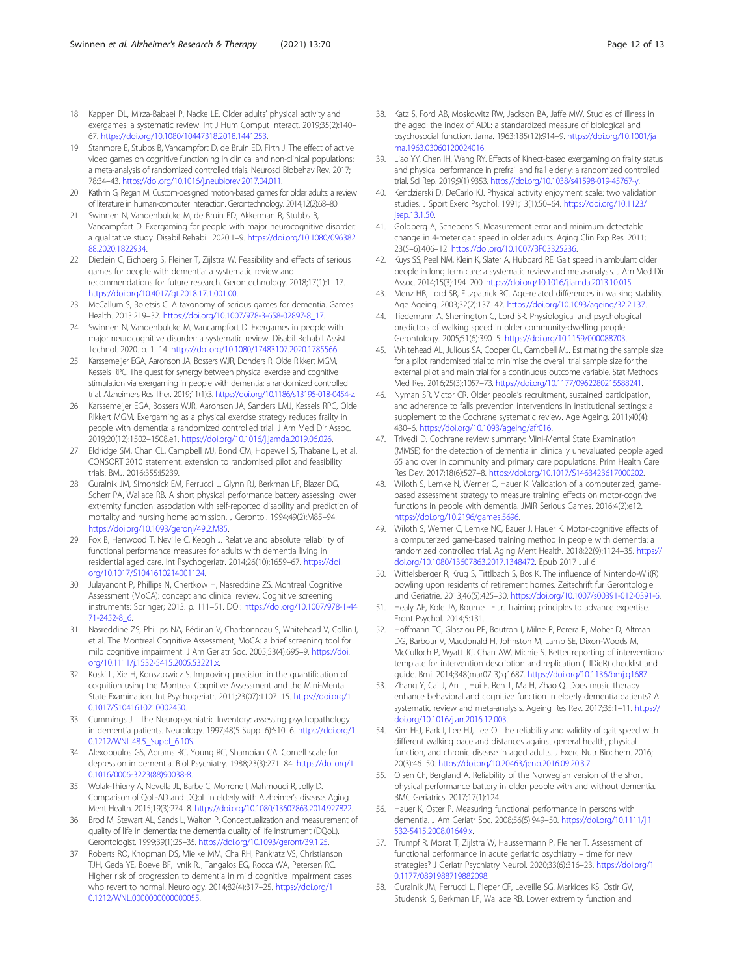- <span id="page-11-0"></span>18. Kappen DL, Mirza-Babaei P, Nacke LE. Older adults' physical activity and exergames: a systematic review. Int J Hum Comput Interact. 2019;35(2):140– 67. <https://doi.org/10.1080/10447318.2018.1441253>.
- 19. Stanmore E, Stubbs B, Vancampfort D, de Bruin ED, Firth J. The effect of active video games on cognitive functioning in clinical and non-clinical populations: a meta-analysis of randomized controlled trials. Neurosci Biobehav Rev. 2017; 78:34–43. [https://doi.org/10.1016/j.neubiorev.2017.04.011.](https://doi.org/10.1016/j.neubiorev.2017.04.011)
- 20. Kathrin G, Regan M. Custom-designed motion-based games for older adults: a review of literature in human-computer interaction. Gerontechnology. 2014;12(2):68–80.
- 21. Swinnen N, Vandenbulcke M, de Bruin ED, Akkerman R, Stubbs B, Vancampfort D. Exergaming for people with major neurocognitive disorder: a qualitative study. Disabil Rehabil. 2020:1–9. [https://doi.org/10.1080/096382](https://doi.org/10.1080/09638288.2020.1822934) [88.2020.1822934](https://doi.org/10.1080/09638288.2020.1822934).
- 22. Dietlein C, Eichberg S, Fleiner T, Zijlstra W. Feasibility and effects of serious games for people with dementia: a systematic review and recommendations for future research. Gerontechnology. 2018;17(1):1–17. [https://doi.org/10.4017/gt.2018.17.1.001.00.](https://doi.org/10.4017/gt.2018.17.1.001.00)
- 23. McCallum S, Boletsis C. A taxonomy of serious games for dementia. Games Health. 2013:219–32. [https://doi.org/10.1007/978-3-658-02897-8\\_17.](https://doi.org/10.1007/978-3-658-02897-8_17)
- 24. Swinnen N, Vandenbulcke M, Vancampfort D. Exergames in people with major neurocognitive disorder: a systematic review. Disabil Rehabil Assist Technol. 2020. p. 1–14. <https://doi.org/10.1080/17483107.2020.1785566>.
- 25. Karssemeijer EGA, Aaronson JA, Bossers WJR, Donders R, Olde Rikkert MGM, Kessels RPC. The quest for synergy between physical exercise and cognitive stimulation via exergaming in people with dementia: a randomized controlled trial. Alzheimers Res Ther. 2019;11(1):3. [https://doi.org/10.1186/s13195-018-0454-z.](https://doi.org/10.1186/s13195-018-0454-z)
- 26. Karssemeijer EGA, Bossers WJR, Aaronson JA, Sanders LMJ, Kessels RPC, Olde Rikkert MGM. Exergaming as a physical exercise strategy reduces frailty in people with dementia: a randomized controlled trial. J Am Med Dir Assoc. 2019;20(12):1502–1508.e1. [https://doi.org/10.1016/j.jamda.2019.06.026.](https://doi.org/10.1016/j.jamda.2019.06.026)
- 27. Eldridge SM, Chan CL, Campbell MJ, Bond CM, Hopewell S, Thabane L, et al. CONSORT 2010 statement: extension to randomised pilot and feasibility trials. BMJ. 2016;355:i5239.
- 28. Guralnik JM, Simonsick EM, Ferrucci L, Glynn RJ, Berkman LF, Blazer DG, Scherr PA, Wallace RB. A short physical performance battery assessing lower extremity function: association with self-reported disability and prediction of mortality and nursing home admission. J Gerontol. 1994;49(2):M85–94. [https://doi.org/10.1093/geronj/49.2.M85.](https://doi.org/10.1093/geronj/49.2.M85)
- 29. Fox B, Henwood T, Neville C, Keogh J. Relative and absolute reliability of functional performance measures for adults with dementia living in residential aged care. Int Psychogeriatr. 2014;26(10):1659–67. [https://doi.](https://doi.org/10.1017/S1041610214001124) [org/10.1017/S1041610214001124.](https://doi.org/10.1017/S1041610214001124)
- 30. Julayanont P, Phillips N, Chertkow H, Nasreddine ZS. Montreal Cognitive Assessment (MoCA): concept and clinical review. Cognitive screening instruments: Springer; 2013. p. 111–51. DOI: [https://doi.org/10.1007/978-1-44](https://doi.org/10.1007/978-1-4471-2452-8_6) [71-2452-8\\_6.](https://doi.org/10.1007/978-1-4471-2452-8_6)
- 31. Nasreddine ZS, Phillips NA, Bédirian V, Charbonneau S, Whitehead V, Collin I, et al. The Montreal Cognitive Assessment, MoCA: a brief screening tool for mild cognitive impairment. J Am Geriatr Soc. 2005;53(4):695–9. [https://doi.](https://doi.org/10.1111/j.1532-5415.2005.53221.x) [org/10.1111/j.1532-5415.2005.53221.x](https://doi.org/10.1111/j.1532-5415.2005.53221.x).
- 32. Koski L, Xie H, Konsztowicz S. Improving precision in the quantification of cognition using the Montreal Cognitive Assessment and the Mini-Mental State Examination. Int Psychogeriatr. 2011;23(07):1107–15. [https://doi.org/1](https://doi.org/10.1017/S1041610210002450) [0.1017/S1041610210002450](https://doi.org/10.1017/S1041610210002450).
- 33. Cummings JL. The Neuropsychiatric Inventory: assessing psychopathology in dementia patients. Neurology. 1997;48(5 Suppl 6):S10–6. [https://doi.org/1](https://doi.org/10.1212/WNL.48.5_Suppl_6.10S) 0.1212/WNL.48.5 Suppl 6.10S.
- 34. Alexopoulos GS, Abrams RC, Young RC, Shamoian CA. Cornell scale for depression in dementia. Biol Psychiatry. 1988;23(3):271–84. [https://doi.org/1](https://doi.org/10.1016/0006-3223(88)90038-8) [0.1016/0006-3223\(88\)90038-8.](https://doi.org/10.1016/0006-3223(88)90038-8)
- 35. Wolak-Thierry A, Novella JL, Barbe C, Morrone I, Mahmoudi R, Jolly D. Comparison of QoL-AD and DQoL in elderly with Alzheimer's disease. Aging Ment Health. 2015;19(3):274–8. [https://doi.org/10.1080/13607863.2014.927822.](https://doi.org/10.1080/13607863.2014.927822)
- 36. Brod M, Stewart AL, Sands L, Walton P. Conceptualization and measurement of quality of life in dementia: the dementia quality of life instrument (DQoL). Gerontologist. 1999;39(1):25–35. [https://doi.org/10.1093/geront/39.1.25.](https://doi.org/10.1093/geront/39.1.25)
- 37. Roberts RO, Knopman DS, Mielke MM, Cha RH, Pankratz VS, Christianson TJH, Geda YE, Boeve BF, Ivnik RJ, Tangalos EG, Rocca WA, Petersen RC. Higher risk of progression to dementia in mild cognitive impairment cases who revert to normal. Neurology. 2014;82(4):317–25. [https://doi.org/1](https://doi.org/10.1212/WNL.0000000000000055) [0.1212/WNL.0000000000000055.](https://doi.org/10.1212/WNL.0000000000000055)
- 38. Katz S, Ford AB, Moskowitz RW, Jackson BA, Jaffe MW. Studies of illness in the aged: the index of ADL: a standardized measure of biological and psychosocial function. Jama. 1963;185(12):914–9. [https://doi.org/10.1001/ja](https://doi.org/10.1001/jama.1963.03060120024016) [ma.1963.03060120024016](https://doi.org/10.1001/jama.1963.03060120024016).
- 39. Liao YY, Chen IH, Wang RY. Effects of Kinect-based exergaming on frailty status and physical performance in prefrail and frail elderly: a randomized controlled trial. Sci Rep. 2019;9(1):9353. <https://doi.org/10.1038/s41598-019-45767-y>.
- 40. Kendzierski D, DeCarlo KJ. Physical activity enjoyment scale: two validation studies. J Sport Exerc Psychol. 1991;13(1):50–64. [https://doi.org/10.1123/](https://doi.org/10.1123/jsep.13.1.50) [jsep.13.1.50.](https://doi.org/10.1123/jsep.13.1.50)
- 41. Goldberg A, Schepens S. Measurement error and minimum detectable change in 4-meter gait speed in older adults. Aging Clin Exp Res. 2011; 23(5–6):406–12. <https://doi.org/10.1007/BF03325236>.
- 42. Kuys SS, Peel NM, Klein K, Slater A, Hubbard RE. Gait speed in ambulant older people in long term care: a systematic review and meta-analysis. J Am Med Dir Assoc. 2014;15(3):194–200. [https://doi.org/10.1016/j.jamda.2013.10.015.](https://doi.org/10.1016/j.jamda.2013.10.015)
- 43. Menz HB, Lord SR, Fitzpatrick RC. Age-related differences in walking stability. Age Ageing. 2003;32(2):137–42. <https://doi.org/10.1093/ageing/32.2.137>.
- 44. Tiedemann A, Sherrington C, Lord SR. Physiological and psychological predictors of walking speed in older community-dwelling people. Gerontology. 2005;51(6):390–5. <https://doi.org/10.1159/000088703>.
- 45. Whitehead AL, Julious SA, Cooper CL, Campbell MJ. Estimating the sample size for a pilot randomised trial to minimise the overall trial sample size for the external pilot and main trial for a continuous outcome variable. Stat Methods Med Res. 2016;25(3):1057–73. <https://doi.org/10.1177/0962280215588241>.
- 46. Nyman SR, Victor CR. Older people's recruitment, sustained participation, and adherence to falls prevention interventions in institutional settings: a supplement to the Cochrane systematic review. Age Ageing. 2011;40(4): 430–6. [https://doi.org/10.1093/ageing/afr016.](https://doi.org/10.1093/ageing/afr016)
- 47. Trivedi D. Cochrane review summary: Mini-Mental State Examination (MMSE) for the detection of dementia in clinically unevaluated people aged 65 and over in community and primary care populations. Prim Health Care Res Dev. 2017;18(6):527–8. [https://doi.org/10.1017/S1463423617000202.](https://doi.org/10.1017/S1463423617000202)
- 48. Wiloth S, Lemke N, Werner C, Hauer K. Validation of a computerized, gamebased assessment strategy to measure training effects on motor-cognitive functions in people with dementia. JMIR Serious Games. 2016;4(2):e12. [https://doi.org/10.2196/games.5696.](https://doi.org/10.2196/games.5696)
- 49. Wiloth S, Werner C, Lemke NC, Bauer J, Hauer K. Motor-cognitive effects of a computerized game-based training method in people with dementia: a randomized controlled trial. Aging Ment Health. 2018;22(9):1124–35. [https://](https://doi.org/10.1080/13607863.2017.1348472) [doi.org/10.1080/13607863.2017.1348472.](https://doi.org/10.1080/13607863.2017.1348472) Epub 2017 Jul 6.
- 50. Wittelsberger R, Krug S, Tittlbach S, Bos K. The influence of Nintendo-Wii(R) bowling upon residents of retirement homes. Zeitschrift fur Gerontologie und Geriatrie. 2013;46(5):425–30. [https://doi.org/10.1007/s00391-012-0391-6.](https://doi.org/10.1007/s00391-012-0391-6)
- 51. Healy AF, Kole JA, Bourne LE Jr. Training principles to advance expertise. Front Psychol. 2014;5:131.
- 52. Hoffmann TC, Glasziou PP, Boutron I, Milne R, Perera R, Moher D, Altman DG, Barbour V, Macdonald H, Johnston M, Lamb SE, Dixon-Woods M, McCulloch P, Wyatt JC, Chan AW, Michie S. Better reporting of interventions: template for intervention description and replication (TIDieR) checklist and guide. Bmj. 2014;348(mar07 3):g1687. [https://doi.org/10.1136/bmj.g1687.](https://doi.org/10.1136/bmj.g1687)
- 53. Zhang Y, Cai J, An L, Hui F, Ren T, Ma H, Zhao Q. Does music therapy enhance behavioral and cognitive function in elderly dementia patients? A systematic review and meta-analysis. Ageing Res Rev. 2017;35:1–11. [https://](https://doi.org/10.1016/j.arr.2016.12.003) [doi.org/10.1016/j.arr.2016.12.003.](https://doi.org/10.1016/j.arr.2016.12.003)
- 54. Kim H-J, Park I, Lee HJ, Lee O. The reliability and validity of gait speed with different walking pace and distances against general health, physical function, and chronic disease in aged adults. J Exerc Nutr Biochem. 2016; 20(3):46–50. [https://doi.org/10.20463/jenb.2016.09.20.3.7.](https://doi.org/10.20463/jenb.2016.09.20.3.7)
- 55. Olsen CF, Bergland A. Reliability of the Norwegian version of the short physical performance battery in older people with and without dementia. BMC Geriatrics. 2017;17(1):124.
- 56. Hauer K, Oster P. Measuring functional performance in persons with dementia. J Am Geriatr Soc. 2008;56(5):949–50. [https://doi.org/10.1111/j.1](https://doi.org/10.1111/j.1532-5415.2008.01649.x) [532-5415.2008.01649.x](https://doi.org/10.1111/j.1532-5415.2008.01649.x).
- 57. Trumpf R, Morat T, Zijlstra W, Haussermann P, Fleiner T. Assessment of functional performance in acute geriatric psychiatry – time for new strategies? J Geriatr Psychiatry Neurol. 2020;33(6):316–23. [https://doi.org/1](https://doi.org/10.1177/0891988719882098) [0.1177/0891988719882098](https://doi.org/10.1177/0891988719882098).
- 58. Guralnik JM, Ferrucci L, Pieper CF, Leveille SG, Markides KS, Ostir GV, Studenski S, Berkman LF, Wallace RB. Lower extremity function and